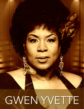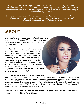*"To say that Gwen Yvette is a great vocalist is an understatement. She is phenomenal! To experience her live is to fall in love with the soaring strength of her voice and melodic tone. Add to that her professionalism, plus the fact that she is an exceptional entertainer and you have the makings of a star.* 

*Gwen and her band have performed several sold out shows at my venue and each one had the audience dancing to their non-stop grooves. I look forward to their return." ~ Chaye Alexander, Owner of Chayz Lounge*

## **.ABOUT**

Gwen Yvette is an independent R&B/Soul singer and songwriter from Beaufort, SC. She has shared the stage with Big Daddy Kane, Carl Thomas and the legendary Patti LaBelle.

An artist with extraordinary talent and vocal range, the Harlem-born, St. Helena Island product first picked up a microphone at the tender age of three and performed at community events. Gwen first entered the music scene as a professional singer in the early 1990's, performing with a popular local band and was later invited to tour with notable musicians, Lattimore and Roy C. In 2012, the songstress had a successful run on Fox's national television series, "The X Factor".

In 2015, Gwen Yvette launched her solo career and in

February 2016, she released her debut single titled, "So In Love". This release propelled Gwen into the spotlight, garnering national media recognition, performance opportunities nationwide and a rising star status. That year, she also won Female R&B Artist of the Year at the South Carolina Music Awards. In June of 2017, Gwen released her long-awaited album titled, "Love, Dreams & Visions", a project that exemplifies her love of music.

Gwen Yvette is one of the most sought-after singers throughout South Carolina and beyond, as is evident from her booking in Accra, Ghana.

**[GwenYvette.net](http://GwenYvette.net)**